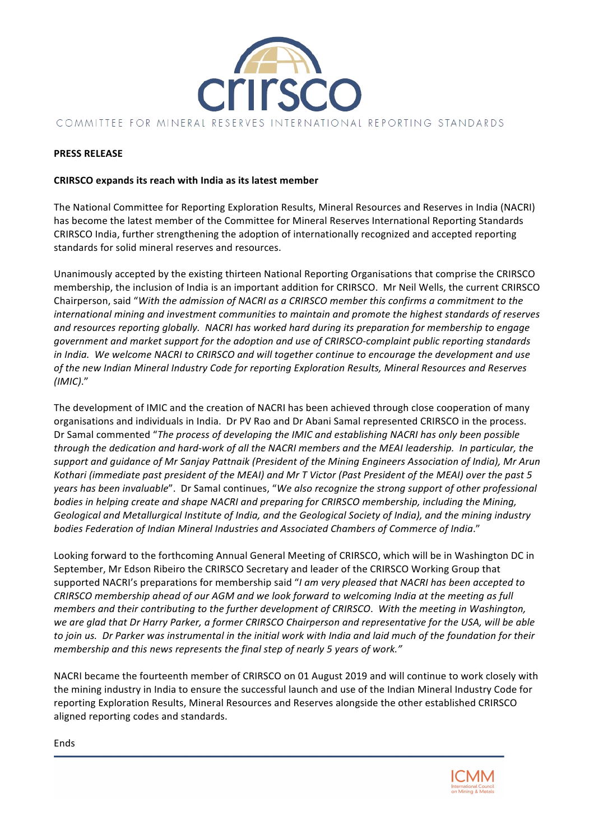

# **PRESS RELEASE**

# **CRIRSCO expands its reach with India as its latest member**

The National Committee for Reporting Exploration Results, Mineral Resources and Reserves in India (NACRI) has become the latest member of the Committee for Mineral Reserves International Reporting Standards CRIRSCO India, further strengthening the adoption of internationally recognized and accepted reporting standards for solid mineral reserves and resources.

Unanimously accepted by the existing thirteen National Reporting Organisations that comprise the CRIRSCO membership, the inclusion of India is an important addition for CRIRSCO. Mr Neil Wells, the current CRIRSCO Chairperson, said "With the admission of NACRI as a CRIRSCO member this confirms a commitment to the *international mining and investment communities to maintain and promote the highest standards of reserves* and resources reporting globally. NACRI has worked hard during its preparation for membership to engage government and market support for the adoption and use of CRIRSCO-complaint public reporting standards *in* India. We welcome NACRI to CRIRSCO and will together continue to encourage the development and use of the new Indian Mineral Industry Code for reporting Exploration Results, Mineral Resources and Reserves *(IMIC)*."

The development of IMIC and the creation of NACRI has been achieved through close cooperation of many organisations and individuals in India. Dr PV Rao and Dr Abani Samal represented CRIRSCO in the process. Dr Samal commented "The process of developing the IMIC and establishing NACRI has only been possible *through the dedication and hard-work of all the NACRI members and the MEAI leadership. In particular, the* support and guidance of Mr Sanjay Pattnaik (President of the Mining Engineers Association of India), Mr Arun *Kothari (immediate past president of the MEAI) and Mr T Victor (Past President of the MEAI) over the past 5 years* has been invaluable". Dr Samal continues, "We also recognize the strong support of other professional *bodies in helping create and shape NACRI and preparing for CRIRSCO membership, including the Mining,* Geological and Metallurgical Institute of India, and the Geological Society of India), and the mining industry bodies Federation of Indian Mineral Industries and Associated Chambers of Commerce of India."

Looking forward to the forthcoming Annual General Meeting of CRIRSCO, which will be in Washington DC in September, Mr Edson Ribeiro the CRIRSCO Secretary and leader of the CRIRSCO Working Group that supported NACRI's preparations for membership said "*I am very pleased that NACRI has been accepted to CRIRSCO* membership ahead of our AGM and we look forward to welcoming India at the meeting as full *members and their contributing to the further development of CRIRSCO. With the meeting in Washington,* we are glad that Dr Harry Parker, a former CRIRSCO Chairperson and representative for the USA, will be able to join us. Dr Parker was instrumental in the initial work with India and laid much of the foundation for their *membership* and this news represents the final step of nearly 5 years of work."

NACRI became the fourteenth member of CRIRSCO on 01 August 2019 and will continue to work closely with the mining industry in India to ensure the successful launch and use of the Indian Mineral Industry Code for reporting Exploration Results, Mineral Resources and Reserves alongside the other established CRIRSCO aligned reporting codes and standards.



Ends